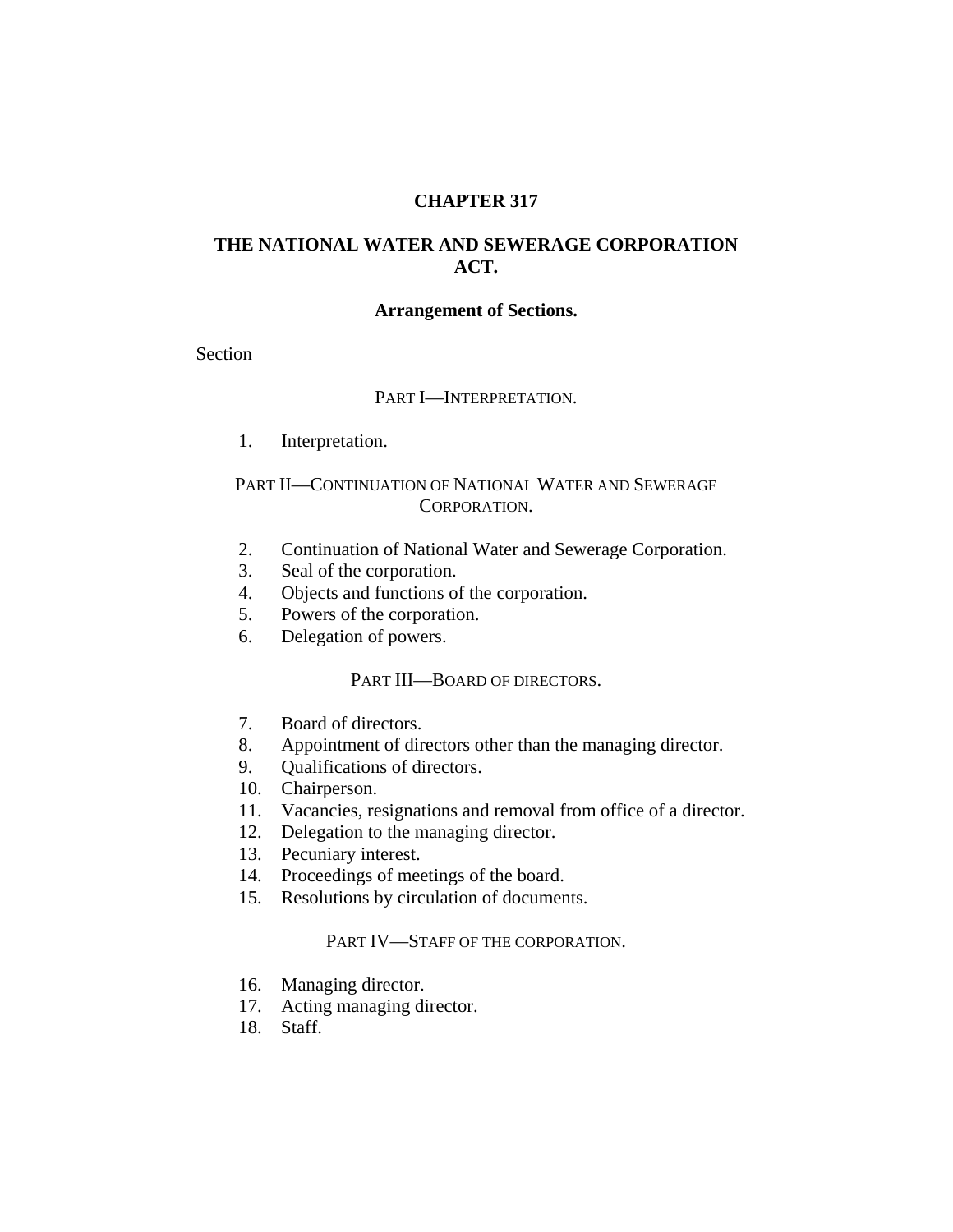### **CHAPTER 317**

# **THE NATIONAL WATER AND SEWERAGE CORPORATION ACT.**

#### **Arrangement of Sections.**

Section

#### PART I—INTERPRETATION.

1. Interpretation.

## PART II—CONTINUATION OF NATIONAL WATER AND SEWERAGE CORPORATION.

- 2. Continuation of National Water and Sewerage Corporation.
- 3. Seal of the corporation.
- 4. Objects and functions of the corporation.
- 5. Powers of the corporation.
- 6. Delegation of powers.

### PART III—BOARD OF DIRECTORS.

- 7. Board of directors.
- 8. Appointment of directors other than the managing director.
- 9. Qualifications of directors.
- 10. Chairperson.
- 11. Vacancies, resignations and removal from office of a director.
- 12. Delegation to the managing director.
- 13. Pecuniary interest.
- 14. Proceedings of meetings of the board.
- 15. Resolutions by circulation of documents.

### PART IV—STAFF OF THE CORPORATION.

- 16. Managing director.
- 17. Acting managing director.
- 18. Staff.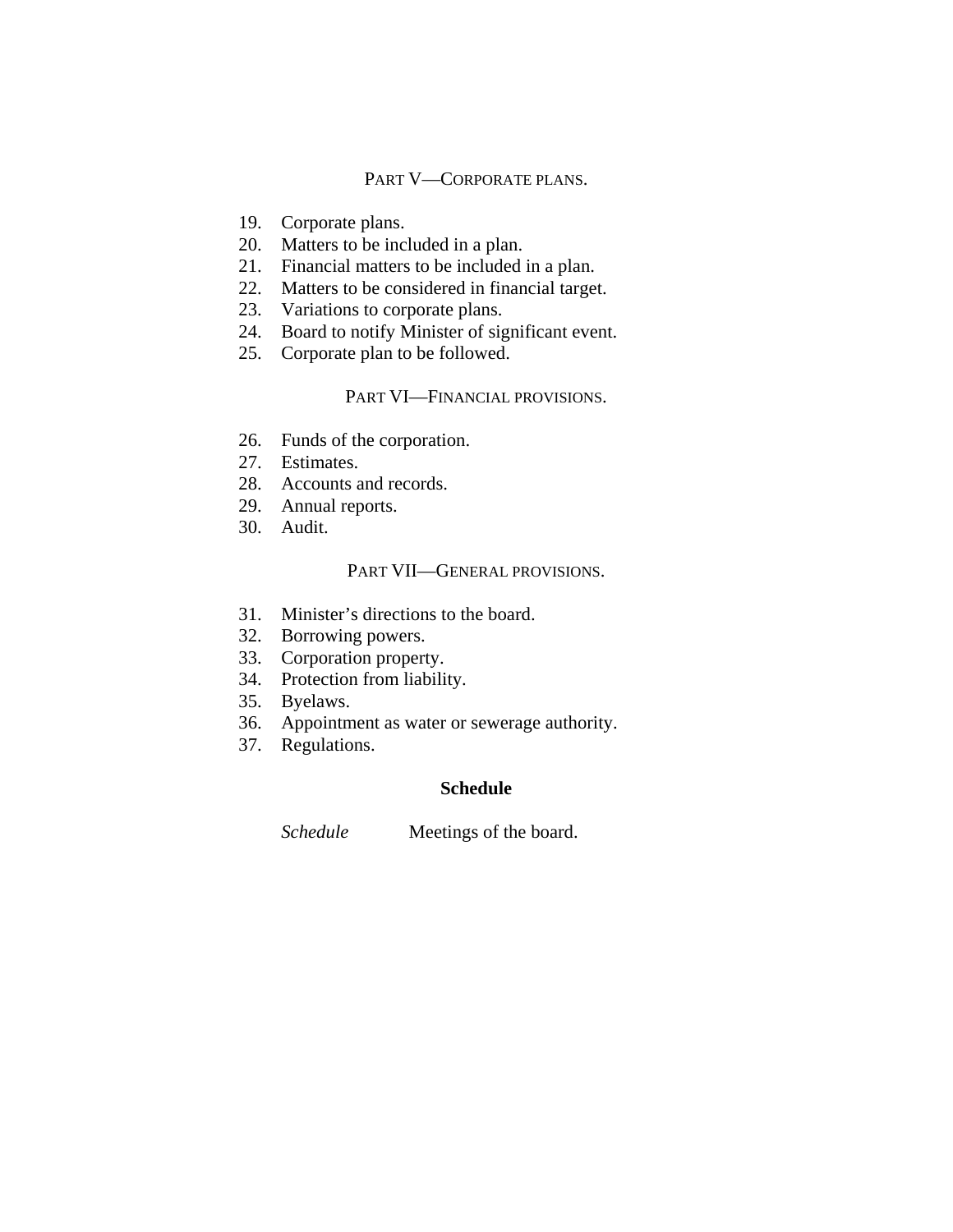## PART V—CORPORATE PLANS.

- 19. Corporate plans.
- 20. Matters to be included in a plan.
- 21. Financial matters to be included in a plan.
- 22. Matters to be considered in financial target.
- 23. Variations to corporate plans.
- 24. Board to notify Minister of significant event.
- 25. Corporate plan to be followed.

### PART VI—FINANCIAL PROVISIONS.

- 26. Funds of the corporation.
- 27. Estimates.
- 28. Accounts and records.
- 29. Annual reports.
- 30. Audit.

#### PART VII—GENERAL PROVISIONS.

- 31. Minister's directions to the board.
- 32. Borrowing powers.
- 33. Corporation property.
- 34. Protection from liability.
- 35. Byelaws.
- 36. Appointment as water or sewerage authority.
- 37. Regulations.

# **Schedule**

*Schedule* Meetings of the board.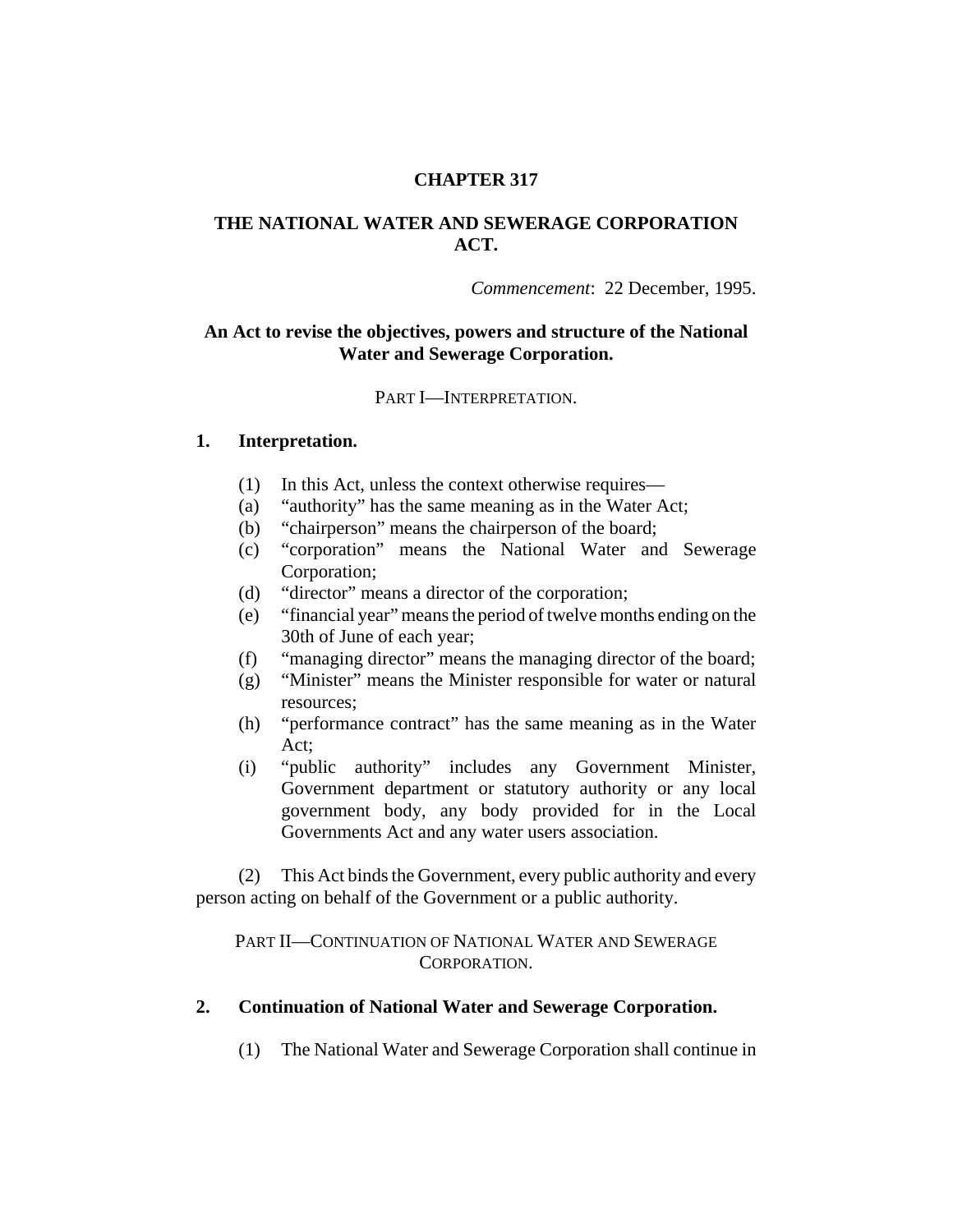## **CHAPTER 317**

## **THE NATIONAL WATER AND SEWERAGE CORPORATION ACT.**

*Commencement*: 22 December, 1995.

### **An Act to revise the objectives, powers and structure of the National Water and Sewerage Corporation.**

#### PART I—INTERPRETATION.

### **1. Interpretation.**

- (1) In this Act, unless the context otherwise requires—
- (a) "authority" has the same meaning as in the Water Act;
- (b) "chairperson" means the chairperson of the board;
- (c) "corporation" means the National Water and Sewerage Corporation;
- (d) "director" means a director of the corporation;
- (e) "financial year" means the period of twelve months ending on the 30th of June of each year;
- (f) "managing director" means the managing director of the board;
- (g) "Minister" means the Minister responsible for water or natural resources;
- (h) "performance contract" has the same meaning as in the Water Act;
- (i) "public authority" includes any Government Minister, Government department or statutory authority or any local government body, any body provided for in the Local Governments Act and any water users association.

(2) This Act binds the Government, every public authority and every person acting on behalf of the Government or a public authority.

PART II—CONTINUATION OF NATIONAL WATER AND SEWERAGE CORPORATION.

#### **2. Continuation of National Water and Sewerage Corporation.**

(1) The National Water and Sewerage Corporation shall continue in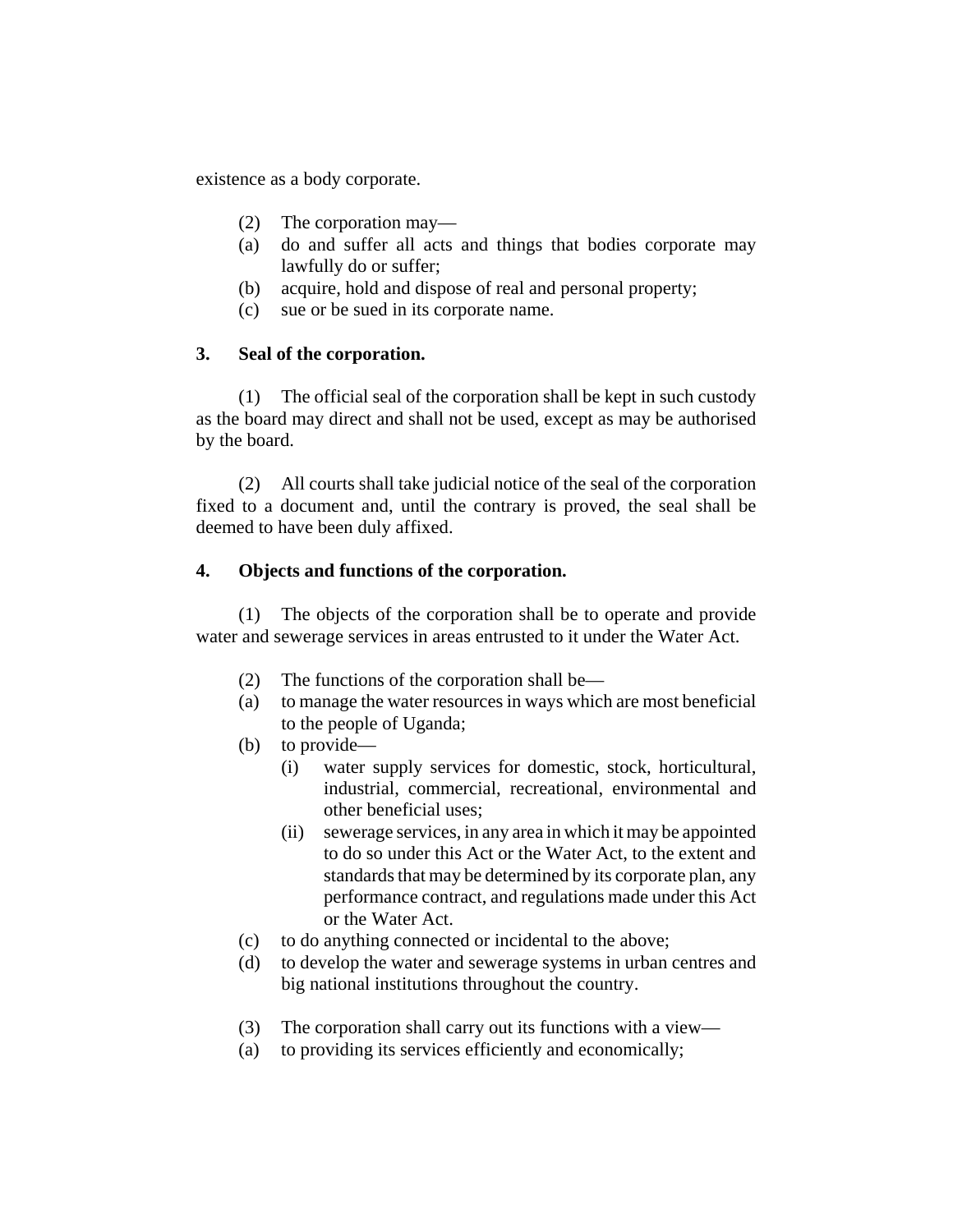existence as a body corporate.

- (2) The corporation may—
- (a) do and suffer all acts and things that bodies corporate may lawfully do or suffer;
- (b) acquire, hold and dispose of real and personal property;
- (c) sue or be sued in its corporate name.

## **3. Seal of the corporation.**

(1) The official seal of the corporation shall be kept in such custody as the board may direct and shall not be used, except as may be authorised by the board.

(2) All courts shall take judicial notice of the seal of the corporation fixed to a document and, until the contrary is proved, the seal shall be deemed to have been duly affixed.

## **4. Objects and functions of the corporation.**

(1) The objects of the corporation shall be to operate and provide water and sewerage services in areas entrusted to it under the Water Act.

- (2) The functions of the corporation shall be—
- (a) to manage the water resources in ways which are most beneficial to the people of Uganda;
- (b) to provide—
	- (i) water supply services for domestic, stock, horticultural, industrial, commercial, recreational, environmental and other beneficial uses;
	- (ii) sewerage services, in any area in which it may be appointed to do so under this Act or the Water Act, to the extent and standards that may be determined by its corporate plan, any performance contract, and regulations made under this Act or the Water Act.
- (c) to do anything connected or incidental to the above;
- (d) to develop the water and sewerage systems in urban centres and big national institutions throughout the country.
- (3) The corporation shall carry out its functions with a view—
- (a) to providing its services efficiently and economically;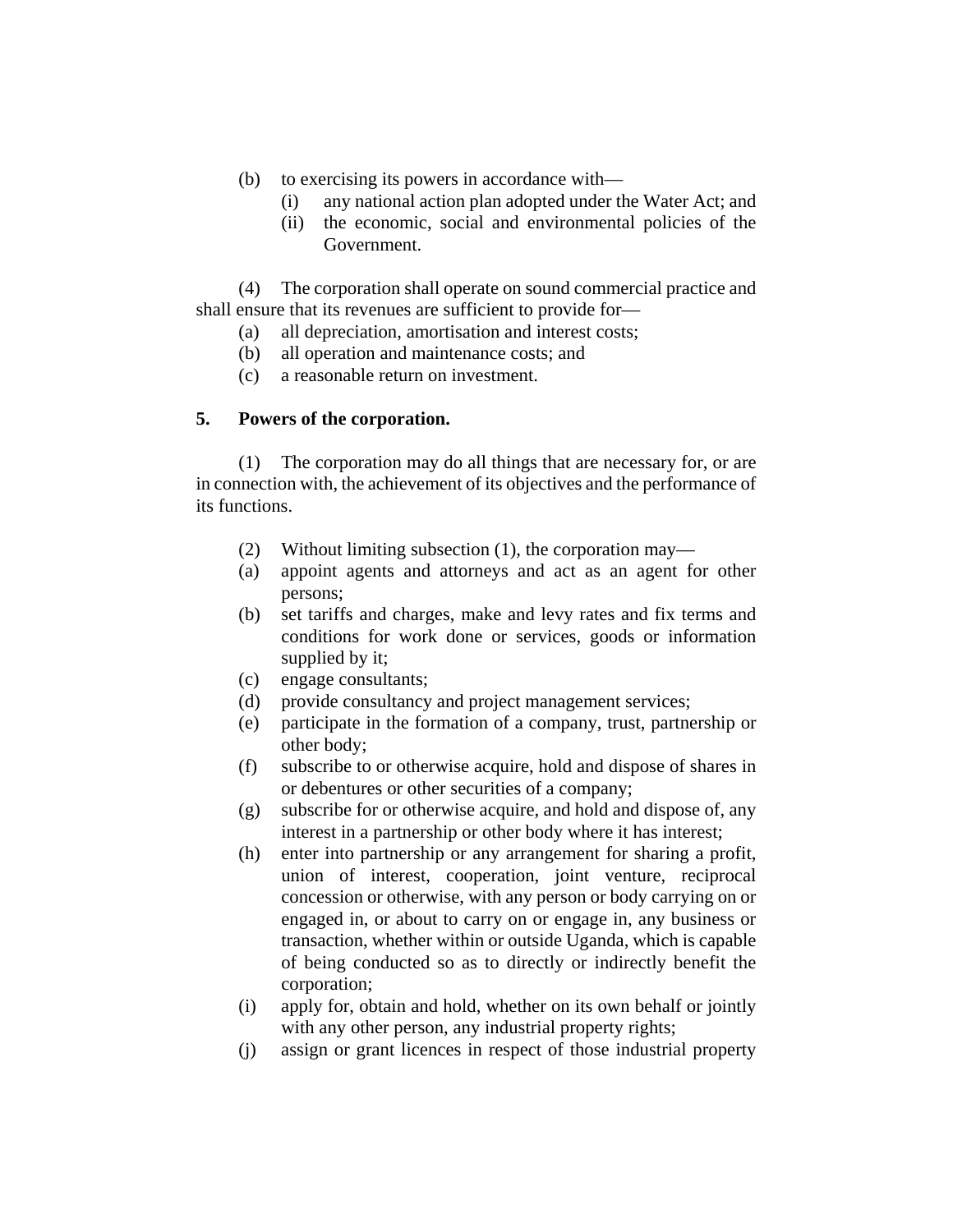- (b) to exercising its powers in accordance with—
	- (i) any national action plan adopted under the Water Act; and
	- (ii) the economic, social and environmental policies of the Government.

(4) The corporation shall operate on sound commercial practice and shall ensure that its revenues are sufficient to provide for—

- (a) all depreciation, amortisation and interest costs;
- (b) all operation and maintenance costs; and
- (c) a reasonable return on investment.

## **5. Powers of the corporation.**

(1) The corporation may do all things that are necessary for, or are in connection with, the achievement of its objectives and the performance of its functions.

- (2) Without limiting subsection (1), the corporation may—
- (a) appoint agents and attorneys and act as an agent for other persons;
- (b) set tariffs and charges, make and levy rates and fix terms and conditions for work done or services, goods or information supplied by it;
- (c) engage consultants;
- (d) provide consultancy and project management services;
- (e) participate in the formation of a company, trust, partnership or other body;
- (f) subscribe to or otherwise acquire, hold and dispose of shares in or debentures or other securities of a company;
- (g) subscribe for or otherwise acquire, and hold and dispose of, any interest in a partnership or other body where it has interest;
- (h) enter into partnership or any arrangement for sharing a profit, union of interest, cooperation, joint venture, reciprocal concession or otherwise, with any person or body carrying on or engaged in, or about to carry on or engage in, any business or transaction, whether within or outside Uganda, which is capable of being conducted so as to directly or indirectly benefit the corporation;
- (i) apply for, obtain and hold, whether on its own behalf or jointly with any other person, any industrial property rights;
- (j) assign or grant licences in respect of those industrial property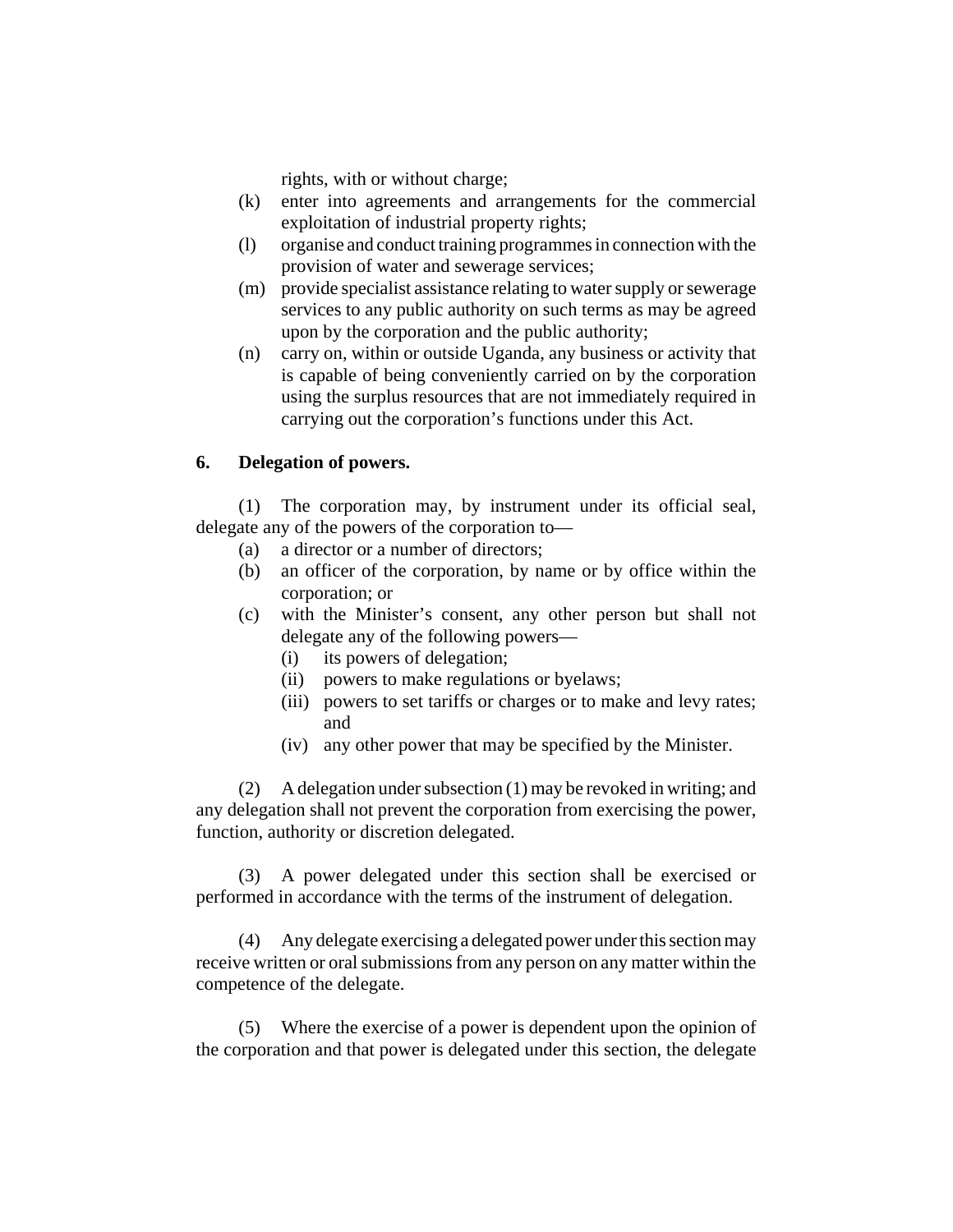rights, with or without charge;

- (k) enter into agreements and arrangements for the commercial exploitation of industrial property rights;
- (l) organise and conduct training programmes in connection with the provision of water and sewerage services;
- (m) provide specialist assistance relating to water supply or sewerage services to any public authority on such terms as may be agreed upon by the corporation and the public authority;
- (n) carry on, within or outside Uganda, any business or activity that is capable of being conveniently carried on by the corporation using the surplus resources that are not immediately required in carrying out the corporation's functions under this Act.

### **6. Delegation of powers.**

(1) The corporation may, by instrument under its official seal, delegate any of the powers of the corporation to—

- (a) a director or a number of directors;
- (b) an officer of the corporation, by name or by office within the corporation; or
- (c) with the Minister's consent, any other person but shall not delegate any of the following powers—
	- (i) its powers of delegation;
	- (ii) powers to make regulations or byelaws;
	- (iii) powers to set tariffs or charges or to make and levy rates; and
	- (iv) any other power that may be specified by the Minister.

(2) A delegation under subsection (1) may be revoked in writing; and any delegation shall not prevent the corporation from exercising the power, function, authority or discretion delegated.

(3) A power delegated under this section shall be exercised or performed in accordance with the terms of the instrument of delegation.

(4) Any delegate exercising a delegated power under this section may receive written or oral submissions from any person on any matter within the competence of the delegate.

(5) Where the exercise of a power is dependent upon the opinion of the corporation and that power is delegated under this section, the delegate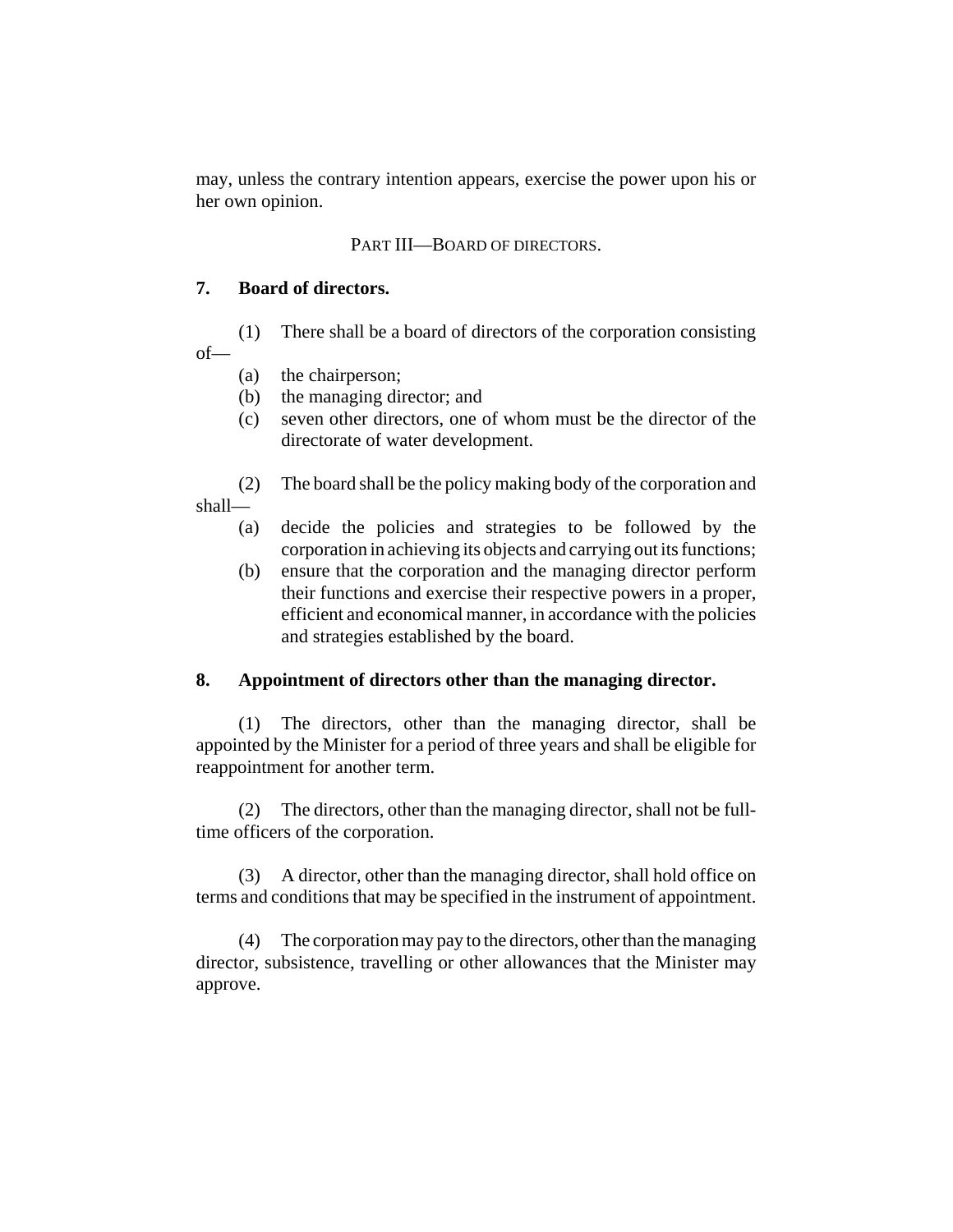may, unless the contrary intention appears, exercise the power upon his or her own opinion.

## PART III—BOARD OF DIRECTORS.

### **7. Board of directors.**

(1) There shall be a board of directors of the corporation consisting of—

- (a) the chairperson;
- (b) the managing director; and
- (c) seven other directors, one of whom must be the director of the directorate of water development.

(2) The board shall be the policy making body of the corporation and shall—

- (a) decide the policies and strategies to be followed by the corporation in achieving its objects and carrying out its functions;
- (b) ensure that the corporation and the managing director perform their functions and exercise their respective powers in a proper, efficient and economical manner, in accordance with the policies and strategies established by the board.

# **8. Appointment of directors other than the managing director.**

(1) The directors, other than the managing director, shall be appointed by the Minister for a period of three years and shall be eligible for reappointment for another term.

(2) The directors, other than the managing director, shall not be fulltime officers of the corporation.

(3) A director, other than the managing director, shall hold office on terms and conditions that may be specified in the instrument of appointment.

(4) The corporation may pay to the directors, other than the managing director, subsistence, travelling or other allowances that the Minister may approve.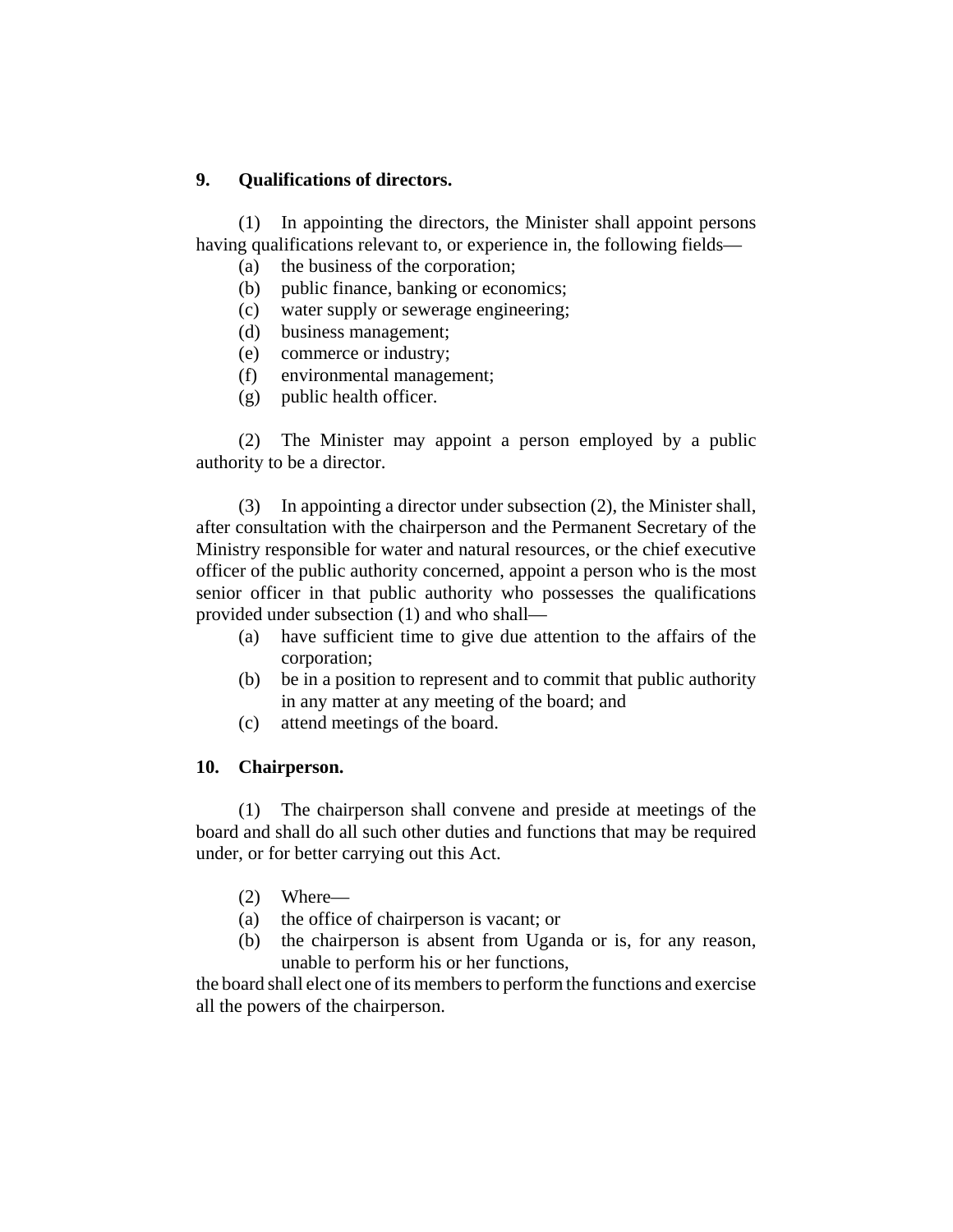## **9. Qualifications of directors.**

(1) In appointing the directors, the Minister shall appoint persons having qualifications relevant to, or experience in, the following fields—

- (a) the business of the corporation;
- (b) public finance, banking or economics;
- (c) water supply or sewerage engineering;
- (d) business management;
- (e) commerce or industry;
- (f) environmental management;
- (g) public health officer.

(2) The Minister may appoint a person employed by a public authority to be a director.

(3) In appointing a director under subsection (2), the Minister shall, after consultation with the chairperson and the Permanent Secretary of the Ministry responsible for water and natural resources, or the chief executive officer of the public authority concerned, appoint a person who is the most senior officer in that public authority who possesses the qualifications provided under subsection (1) and who shall—

- (a) have sufficient time to give due attention to the affairs of the corporation;
- (b) be in a position to represent and to commit that public authority in any matter at any meeting of the board; and
- (c) attend meetings of the board.

### **10. Chairperson.**

(1) The chairperson shall convene and preside at meetings of the board and shall do all such other duties and functions that may be required under, or for better carrying out this Act.

- (2) Where—
- (a) the office of chairperson is vacant; or
- (b) the chairperson is absent from Uganda or is, for any reason, unable to perform his or her functions,

the board shall elect one of its members to perform the functions and exercise all the powers of the chairperson.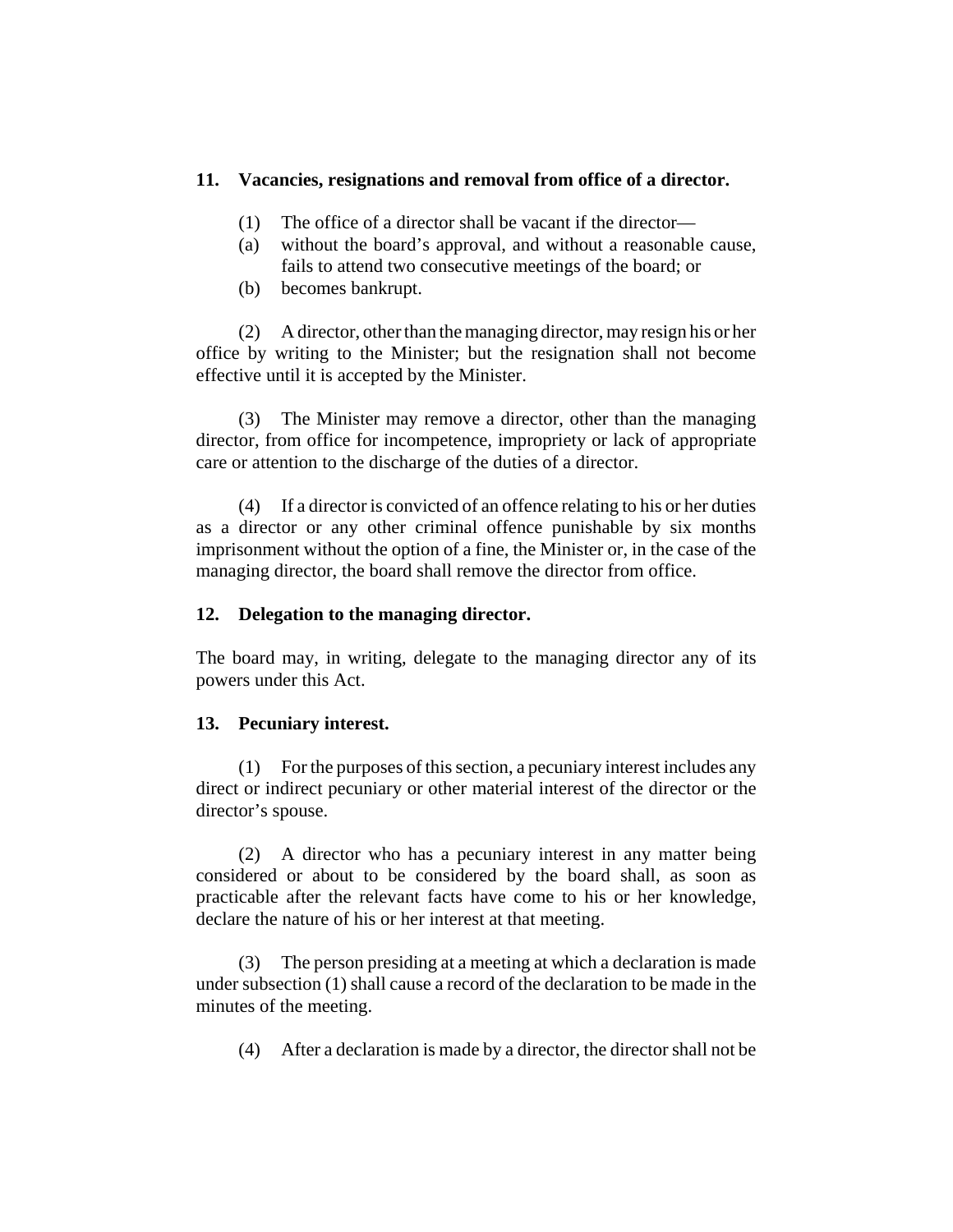### **11. Vacancies, resignations and removal from office of a director.**

- (1) The office of a director shall be vacant if the director—
- (a) without the board's approval, and without a reasonable cause, fails to attend two consecutive meetings of the board; or
- (b) becomes bankrupt.

(2) A director, other than the managing director, may resign his or her office by writing to the Minister; but the resignation shall not become effective until it is accepted by the Minister.

(3) The Minister may remove a director, other than the managing director, from office for incompetence, impropriety or lack of appropriate care or attention to the discharge of the duties of a director.

(4) If a director is convicted of an offence relating to his or her duties as a director or any other criminal offence punishable by six months imprisonment without the option of a fine, the Minister or, in the case of the managing director, the board shall remove the director from office.

### **12. Delegation to the managing director.**

The board may, in writing, delegate to the managing director any of its powers under this Act.

### **13. Pecuniary interest.**

(1) For the purposes of this section, a pecuniary interest includes any direct or indirect pecuniary or other material interest of the director or the director's spouse.

(2) A director who has a pecuniary interest in any matter being considered or about to be considered by the board shall, as soon as practicable after the relevant facts have come to his or her knowledge, declare the nature of his or her interest at that meeting.

(3) The person presiding at a meeting at which a declaration is made under subsection (1) shall cause a record of the declaration to be made in the minutes of the meeting.

(4) After a declaration is made by a director, the director shall not be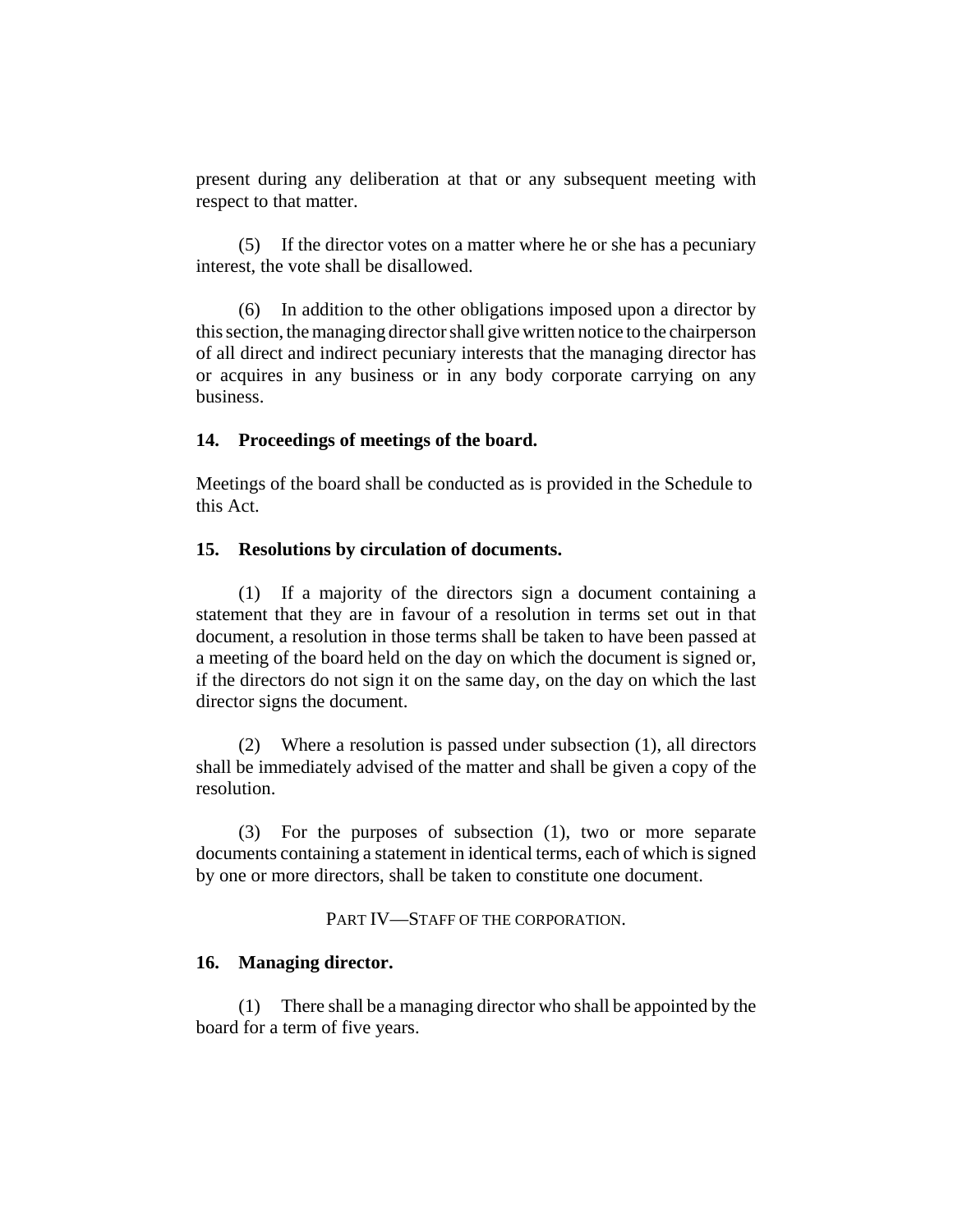present during any deliberation at that or any subsequent meeting with respect to that matter.

(5) If the director votes on a matter where he or she has a pecuniary interest, the vote shall be disallowed.

(6) In addition to the other obligations imposed upon a director by this section, the managing director shall give written notice to the chairperson of all direct and indirect pecuniary interests that the managing director has or acquires in any business or in any body corporate carrying on any business.

#### **14. Proceedings of meetings of the board.**

Meetings of the board shall be conducted as is provided in the Schedule to this Act.

#### **15. Resolutions by circulation of documents.**

(1) If a majority of the directors sign a document containing a statement that they are in favour of a resolution in terms set out in that document, a resolution in those terms shall be taken to have been passed at a meeting of the board held on the day on which the document is signed or, if the directors do not sign it on the same day, on the day on which the last director signs the document.

(2) Where a resolution is passed under subsection (1), all directors shall be immediately advised of the matter and shall be given a copy of the resolution.

(3) For the purposes of subsection (1), two or more separate documents containing a statement in identical terms, each of which is signed by one or more directors, shall be taken to constitute one document.

PART IV—STAFF OF THE CORPORATION.

### **16. Managing director.**

(1) There shall be a managing director who shall be appointed by the board for a term of five years.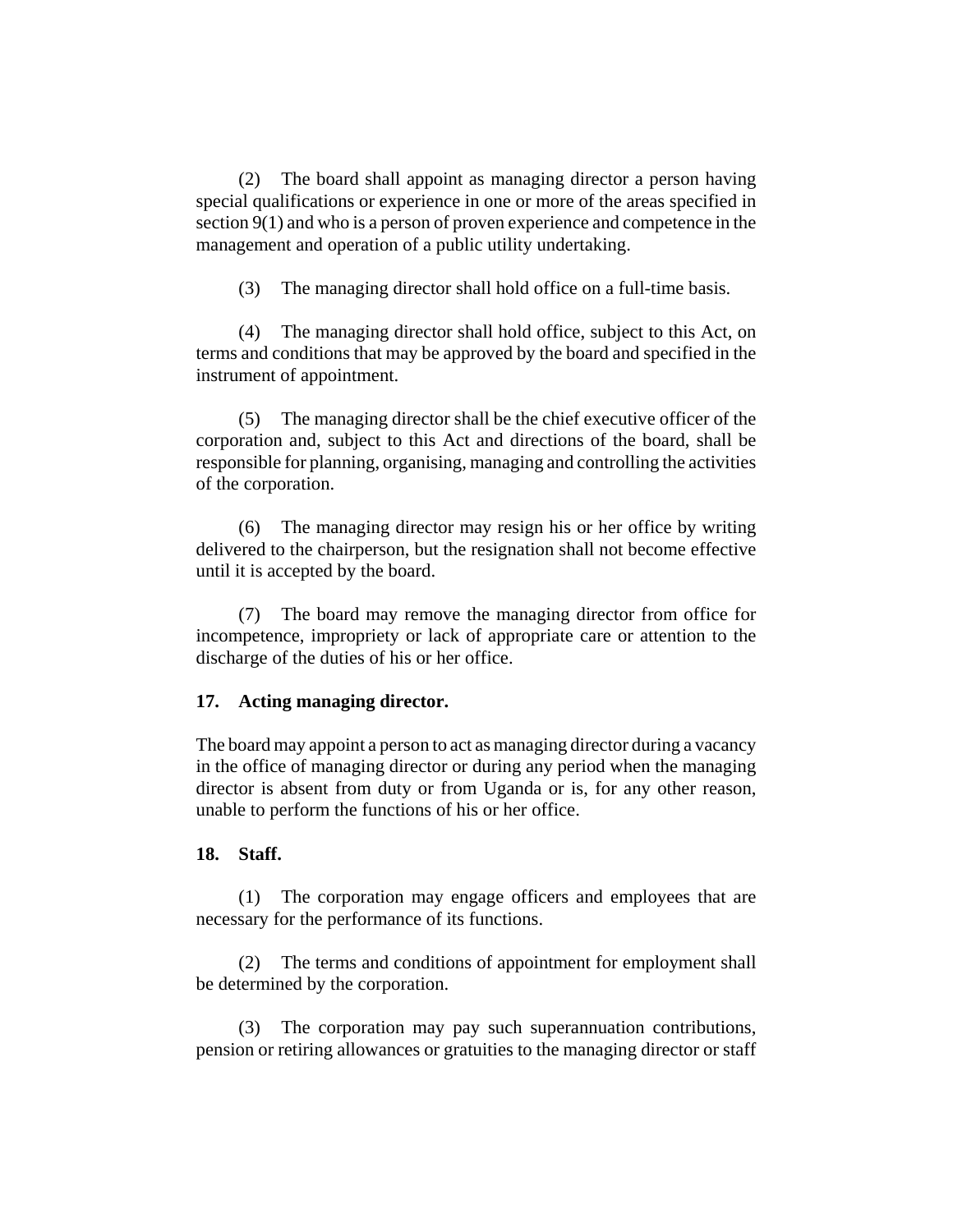(2) The board shall appoint as managing director a person having special qualifications or experience in one or more of the areas specified in section 9(1) and who is a person of proven experience and competence in the management and operation of a public utility undertaking.

(3) The managing director shall hold office on a full-time basis.

(4) The managing director shall hold office, subject to this Act, on terms and conditions that may be approved by the board and specified in the instrument of appointment.

(5) The managing director shall be the chief executive officer of the corporation and, subject to this Act and directions of the board, shall be responsible for planning, organising, managing and controlling the activities of the corporation.

(6) The managing director may resign his or her office by writing delivered to the chairperson, but the resignation shall not become effective until it is accepted by the board.

(7) The board may remove the managing director from office for incompetence, impropriety or lack of appropriate care or attention to the discharge of the duties of his or her office.

### **17. Acting managing director.**

The board may appoint a person to act as managing director during a vacancy in the office of managing director or during any period when the managing director is absent from duty or from Uganda or is, for any other reason, unable to perform the functions of his or her office.

### **18. Staff.**

(1) The corporation may engage officers and employees that are necessary for the performance of its functions.

(2) The terms and conditions of appointment for employment shall be determined by the corporation.

(3) The corporation may pay such superannuation contributions, pension or retiring allowances or gratuities to the managing director or staff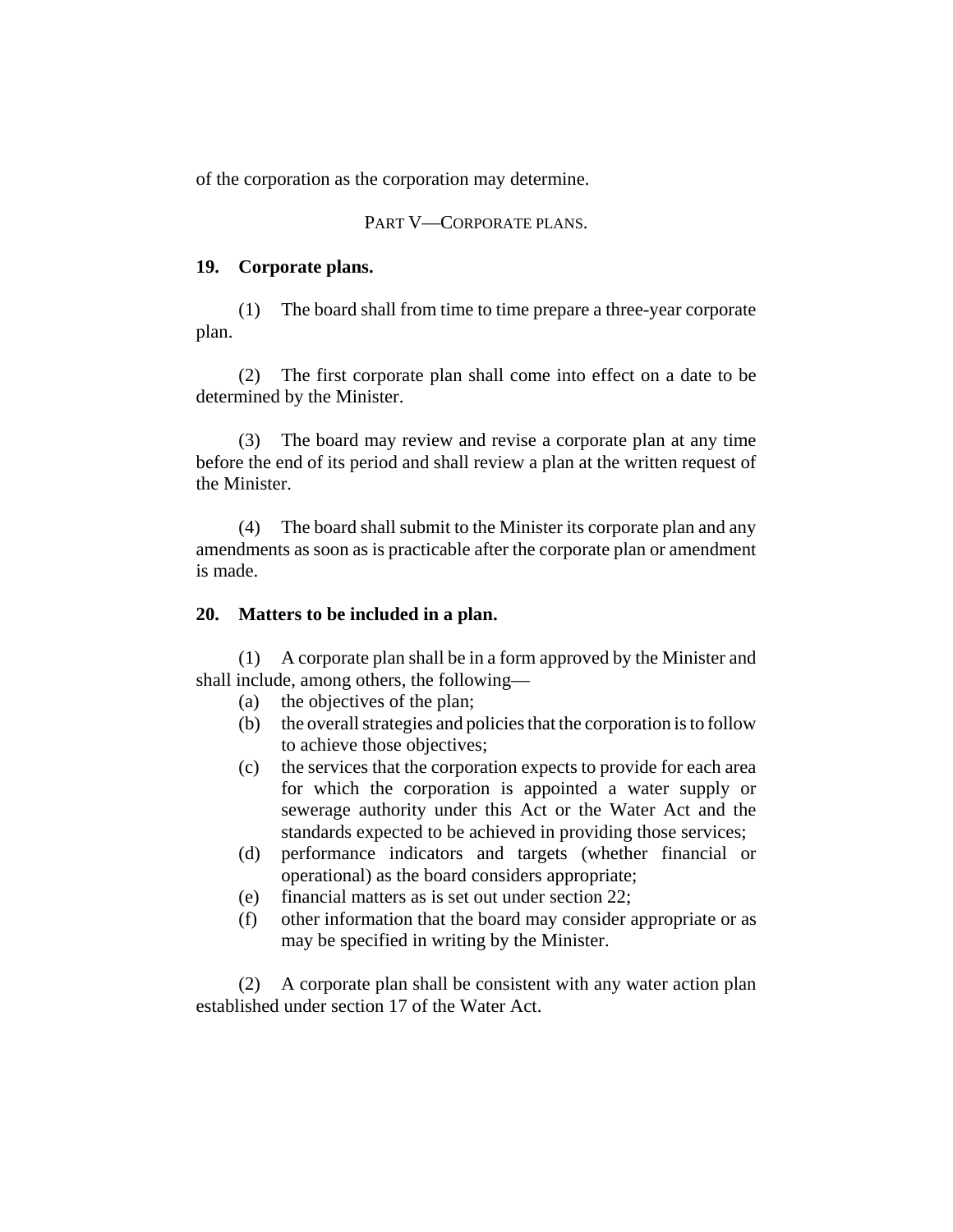of the corporation as the corporation may determine.

### PART V—CORPORATE PLANS.

### **19. Corporate plans.**

(1) The board shall from time to time prepare a three-year corporate plan.

(2) The first corporate plan shall come into effect on a date to be determined by the Minister.

(3) The board may review and revise a corporate plan at any time before the end of its period and shall review a plan at the written request of the Minister.

(4) The board shall submit to the Minister its corporate plan and any amendments as soon as is practicable after the corporate plan or amendment is made.

### **20. Matters to be included in a plan.**

(1) A corporate plan shall be in a form approved by the Minister and shall include, among others, the following—

- (a) the objectives of the plan;
- (b) the overall strategies and policies that the corporation is to follow to achieve those objectives;
- (c) the services that the corporation expects to provide for each area for which the corporation is appointed a water supply or sewerage authority under this Act or the Water Act and the standards expected to be achieved in providing those services;
- (d) performance indicators and targets (whether financial or operational) as the board considers appropriate;
- (e) financial matters as is set out under section 22;
- (f) other information that the board may consider appropriate or as may be specified in writing by the Minister.

(2) A corporate plan shall be consistent with any water action plan established under section 17 of the Water Act.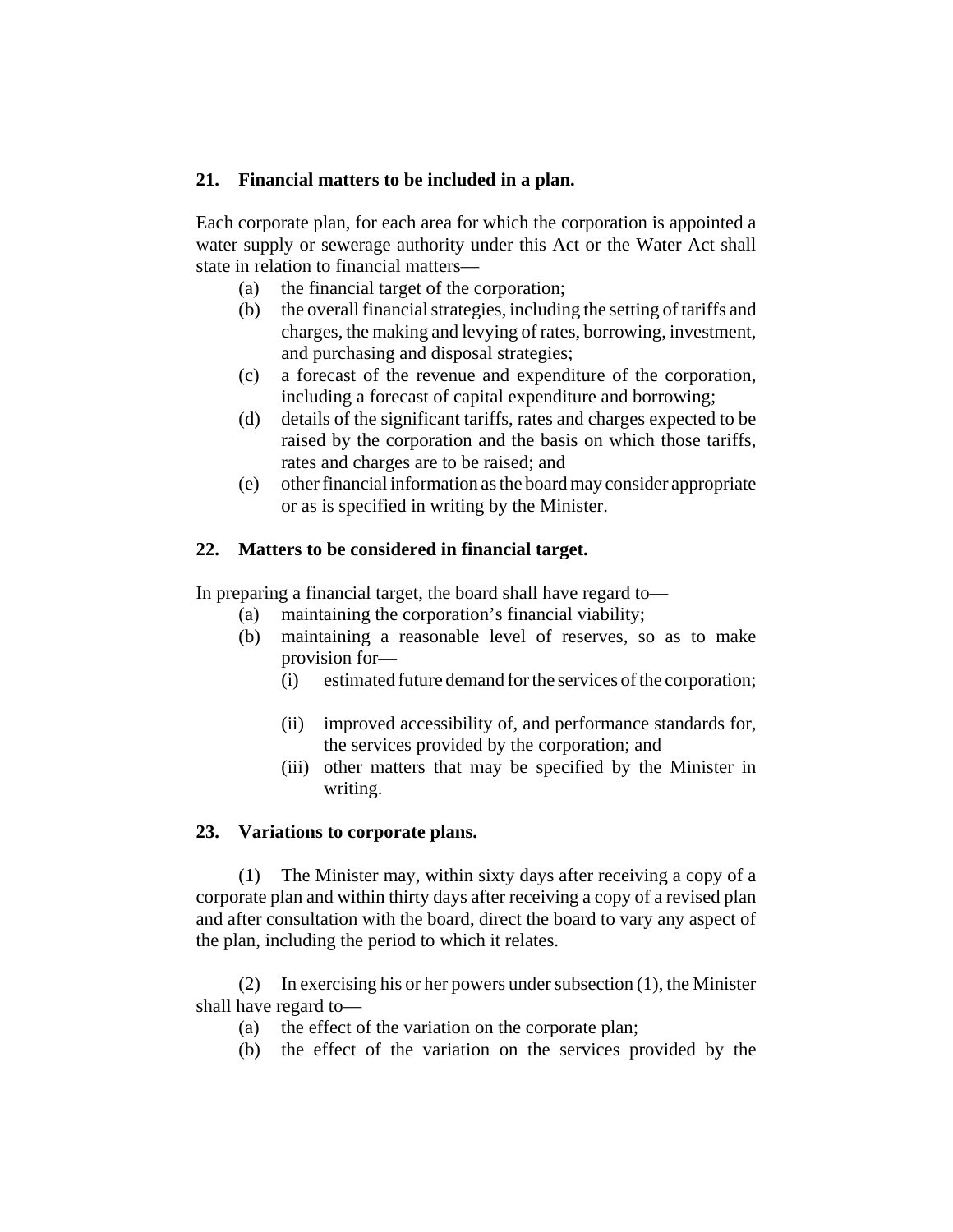## **21. Financial matters to be included in a plan.**

Each corporate plan, for each area for which the corporation is appointed a water supply or sewerage authority under this Act or the Water Act shall state in relation to financial matters—

- (a) the financial target of the corporation;
- (b) the overall financial strategies, including the setting of tariffs and charges, the making and levying of rates, borrowing, investment, and purchasing and disposal strategies;
- (c) a forecast of the revenue and expenditure of the corporation, including a forecast of capital expenditure and borrowing;
- (d) details of the significant tariffs, rates and charges expected to be raised by the corporation and the basis on which those tariffs, rates and charges are to be raised; and
- (e) other financial information as the board may consider appropriate or as is specified in writing by the Minister.

## **22. Matters to be considered in financial target.**

In preparing a financial target, the board shall have regard to—

- (a) maintaining the corporation's financial viability;
- (b) maintaining a reasonable level of reserves, so as to make provision for—
	- (i) estimated future demand for the services of the corporation;
	- (ii) improved accessibility of, and performance standards for, the services provided by the corporation; and
	- (iii) other matters that may be specified by the Minister in writing.

### **23. Variations to corporate plans.**

(1) The Minister may, within sixty days after receiving a copy of a corporate plan and within thirty days after receiving a copy of a revised plan and after consultation with the board, direct the board to vary any aspect of the plan, including the period to which it relates.

(2) In exercising his or her powers under subsection (1), the Minister shall have regard to—

- (a) the effect of the variation on the corporate plan;
- (b) the effect of the variation on the services provided by the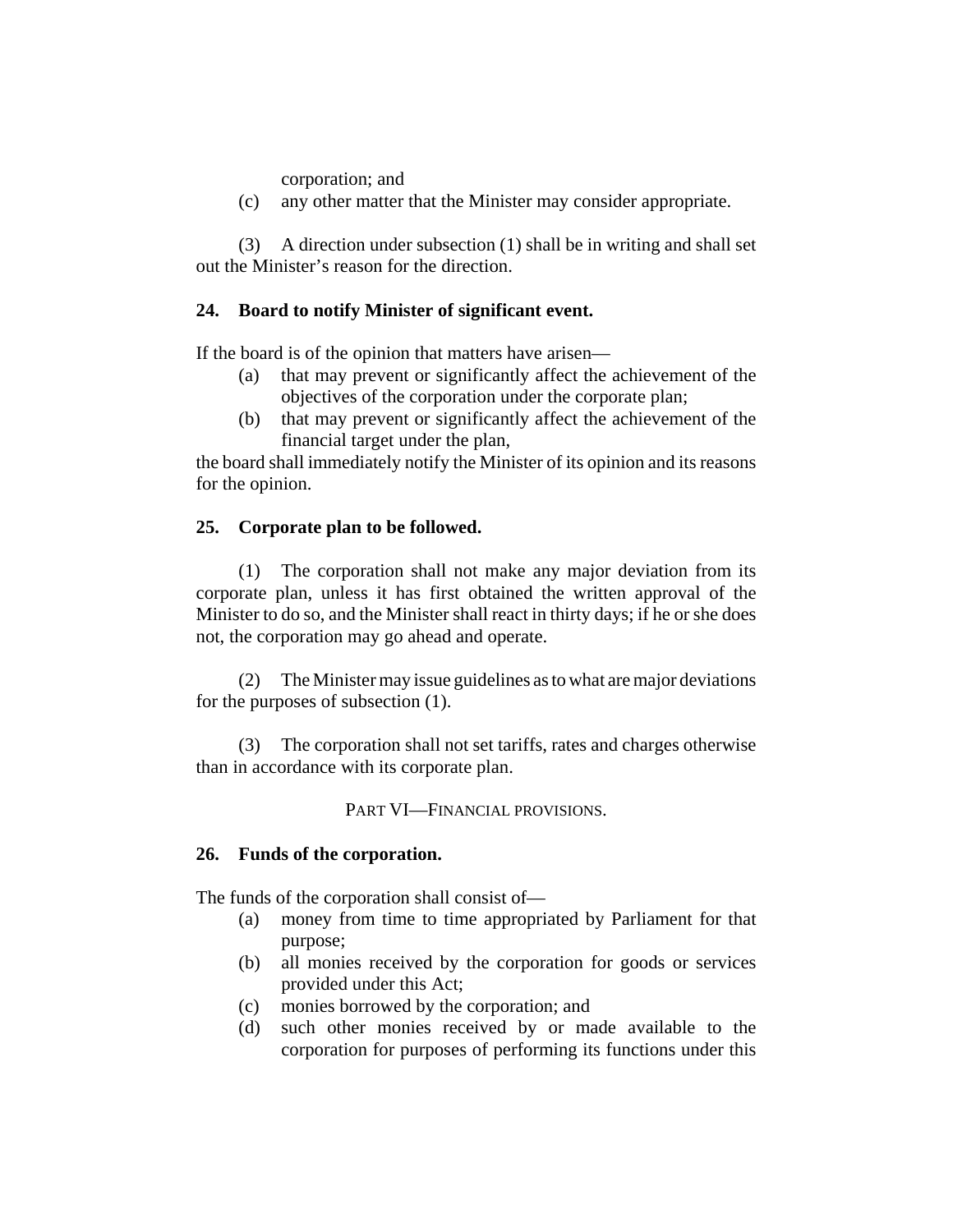corporation; and

(c) any other matter that the Minister may consider appropriate.

(3) A direction under subsection (1) shall be in writing and shall set out the Minister's reason for the direction.

### **24. Board to notify Minister of significant event.**

If the board is of the opinion that matters have arisen—

- (a) that may prevent or significantly affect the achievement of the objectives of the corporation under the corporate plan;
- (b) that may prevent or significantly affect the achievement of the financial target under the plan,

the board shall immediately notify the Minister of its opinion and its reasons for the opinion.

#### **25. Corporate plan to be followed.**

(1) The corporation shall not make any major deviation from its corporate plan, unless it has first obtained the written approval of the Minister to do so, and the Minister shall react in thirty days; if he or she does not, the corporation may go ahead and operate.

(2) The Minister may issue guidelines as to what are major deviations for the purposes of subsection (1).

(3) The corporation shall not set tariffs, rates and charges otherwise than in accordance with its corporate plan.

PART VI—FINANCIAL PROVISIONS.

#### **26. Funds of the corporation.**

The funds of the corporation shall consist of—

- (a) money from time to time appropriated by Parliament for that purpose;
- (b) all monies received by the corporation for goods or services provided under this Act;
- (c) monies borrowed by the corporation; and
- (d) such other monies received by or made available to the corporation for purposes of performing its functions under this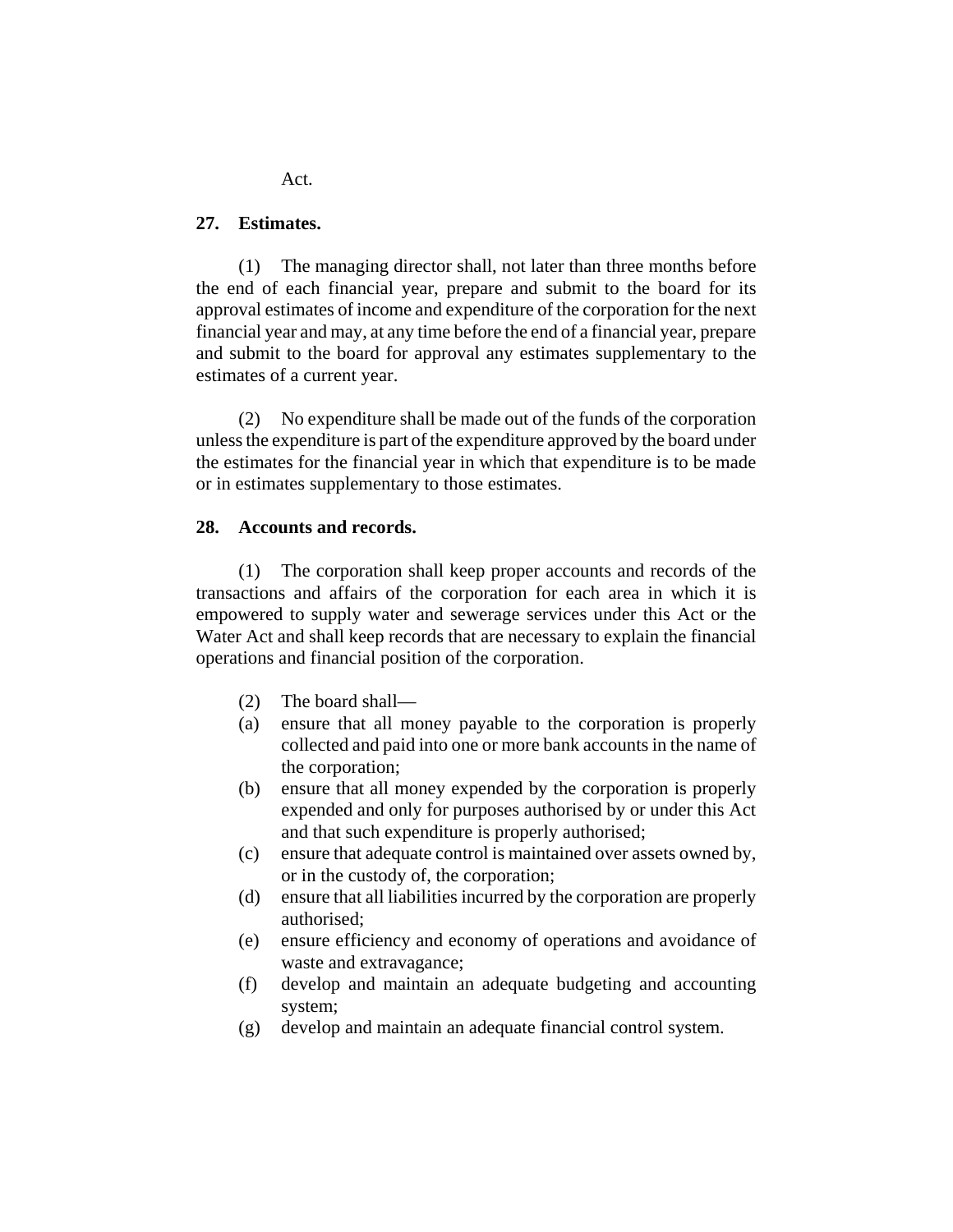**27. Estimates.**

(1) The managing director shall, not later than three months before the end of each financial year, prepare and submit to the board for its approval estimates of income and expenditure of the corporation for the next financial year and may, at any time before the end of a financial year, prepare and submit to the board for approval any estimates supplementary to the estimates of a current year.

(2) No expenditure shall be made out of the funds of the corporation unless the expenditure is part of the expenditure approved by the board under the estimates for the financial year in which that expenditure is to be made or in estimates supplementary to those estimates.

#### **28. Accounts and records.**

(1) The corporation shall keep proper accounts and records of the transactions and affairs of the corporation for each area in which it is empowered to supply water and sewerage services under this Act or the Water Act and shall keep records that are necessary to explain the financial operations and financial position of the corporation.

- (2) The board shall—
- (a) ensure that all money payable to the corporation is properly collected and paid into one or more bank accounts in the name of the corporation;
- (b) ensure that all money expended by the corporation is properly expended and only for purposes authorised by or under this Act and that such expenditure is properly authorised;
- (c) ensure that adequate control is maintained over assets owned by, or in the custody of, the corporation;
- (d) ensure that all liabilities incurred by the corporation are properly authorised;
- (e) ensure efficiency and economy of operations and avoidance of waste and extravagance;
- (f) develop and maintain an adequate budgeting and accounting system;
- (g) develop and maintain an adequate financial control system.

Act.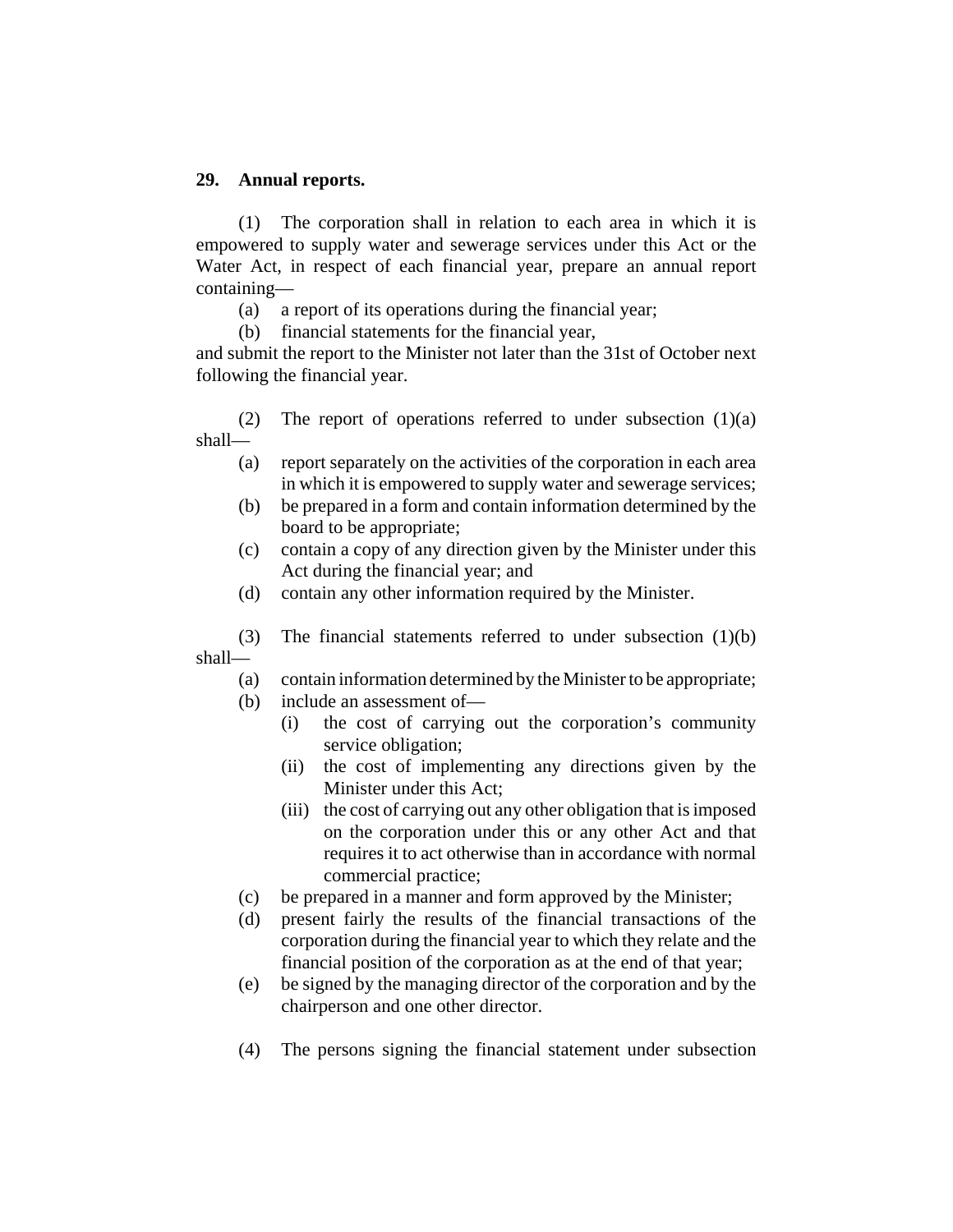### **29. Annual reports.**

(1) The corporation shall in relation to each area in which it is empowered to supply water and sewerage services under this Act or the Water Act, in respect of each financial year, prepare an annual report containing—

(a) a report of its operations during the financial year;

(b) financial statements for the financial year,

and submit the report to the Minister not later than the 31st of October next following the financial year.

(2) The report of operations referred to under subsection  $(1)(a)$ shall—

- (a) report separately on the activities of the corporation in each area in which it is empowered to supply water and sewerage services;
- (b) be prepared in a form and contain information determined by the board to be appropriate;
- (c) contain a copy of any direction given by the Minister under this Act during the financial year; and
- (d) contain any other information required by the Minister.

(3) The financial statements referred to under subsection (1)(b) shall—

- (a) contain information determined by the Minister to be appropriate;
- (b) include an assessment of—
	- (i) the cost of carrying out the corporation's community service obligation;
	- (ii) the cost of implementing any directions given by the Minister under this Act;
	- (iii) the cost of carrying out any other obligation that is imposed on the corporation under this or any other Act and that requires it to act otherwise than in accordance with normal commercial practice;
- (c) be prepared in a manner and form approved by the Minister;
- (d) present fairly the results of the financial transactions of the corporation during the financial year to which they relate and the financial position of the corporation as at the end of that year;
- (e) be signed by the managing director of the corporation and by the chairperson and one other director.
- (4) The persons signing the financial statement under subsection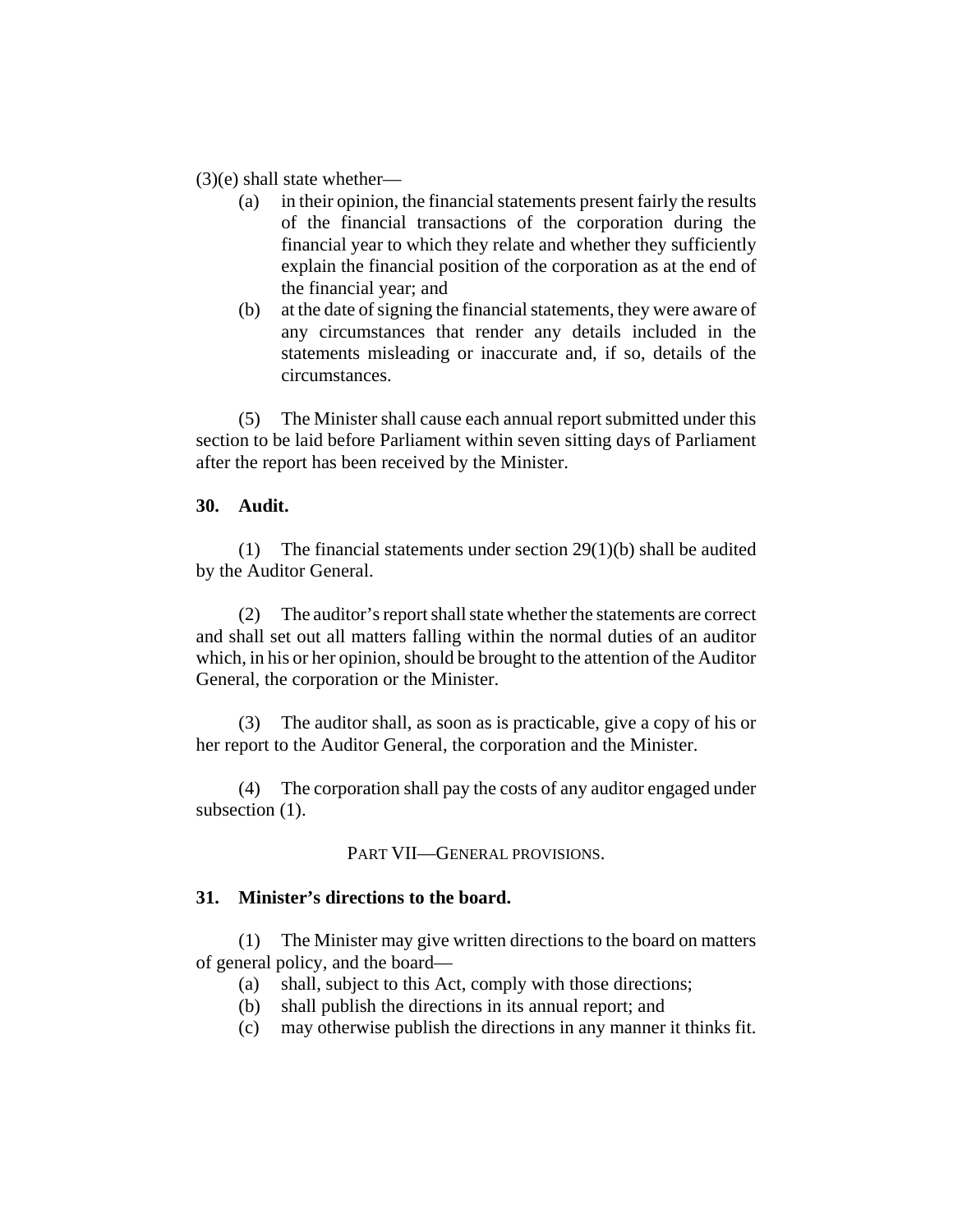$(3)(e)$  shall state whether—

- (a) in their opinion, the financial statements present fairly the results of the financial transactions of the corporation during the financial year to which they relate and whether they sufficiently explain the financial position of the corporation as at the end of the financial year; and
- (b) at the date of signing the financial statements, they were aware of any circumstances that render any details included in the statements misleading or inaccurate and, if so, details of the circumstances.

(5) The Minister shall cause each annual report submitted under this section to be laid before Parliament within seven sitting days of Parliament after the report has been received by the Minister.

#### **30. Audit.**

(1) The financial statements under section 29(1)(b) shall be audited by the Auditor General.

(2) The auditor's report shall state whether the statements are correct and shall set out all matters falling within the normal duties of an auditor which, in his or her opinion, should be brought to the attention of the Auditor General, the corporation or the Minister.

(3) The auditor shall, as soon as is practicable, give a copy of his or her report to the Auditor General, the corporation and the Minister.

(4) The corporation shall pay the costs of any auditor engaged under subsection  $(1)$ .

PART VII—GENERAL PROVISIONS.

### **31. Minister's directions to the board.**

(1) The Minister may give written directions to the board on matters of general policy, and the board—

- (a) shall, subject to this Act, comply with those directions;
- (b) shall publish the directions in its annual report; and
- (c) may otherwise publish the directions in any manner it thinks fit.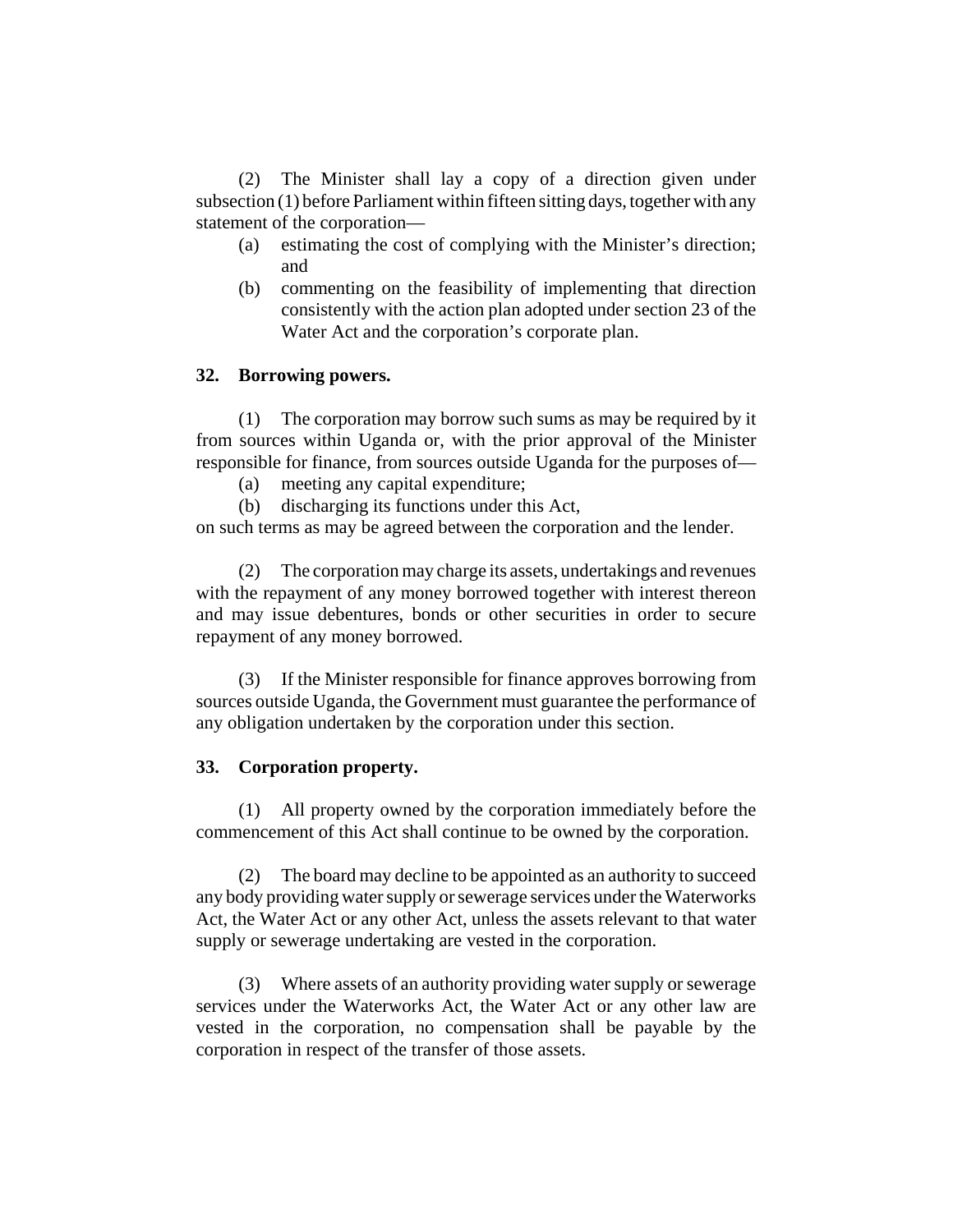(2) The Minister shall lay a copy of a direction given under subsection (1) before Parliament within fifteen sitting days, together with any statement of the corporation—

- (a) estimating the cost of complying with the Minister's direction; and
- (b) commenting on the feasibility of implementing that direction consistently with the action plan adopted under section 23 of the Water Act and the corporation's corporate plan.

### **32. Borrowing powers.**

(1) The corporation may borrow such sums as may be required by it from sources within Uganda or, with the prior approval of the Minister responsible for finance, from sources outside Uganda for the purposes of—

- (a) meeting any capital expenditure;
- (b) discharging its functions under this Act,

on such terms as may be agreed between the corporation and the lender.

(2) The corporation may charge its assets, undertakings and revenues with the repayment of any money borrowed together with interest thereon and may issue debentures, bonds or other securities in order to secure repayment of any money borrowed.

(3) If the Minister responsible for finance approves borrowing from sources outside Uganda, the Government must guarantee the performance of any obligation undertaken by the corporation under this section.

#### **33. Corporation property.**

(1) All property owned by the corporation immediately before the commencement of this Act shall continue to be owned by the corporation.

(2) The board may decline to be appointed as an authority to succeed any body providing water supply or sewerage services under the Waterworks Act, the Water Act or any other Act, unless the assets relevant to that water supply or sewerage undertaking are vested in the corporation.

(3) Where assets of an authority providing water supply or sewerage services under the Waterworks Act, the Water Act or any other law are vested in the corporation, no compensation shall be payable by the corporation in respect of the transfer of those assets.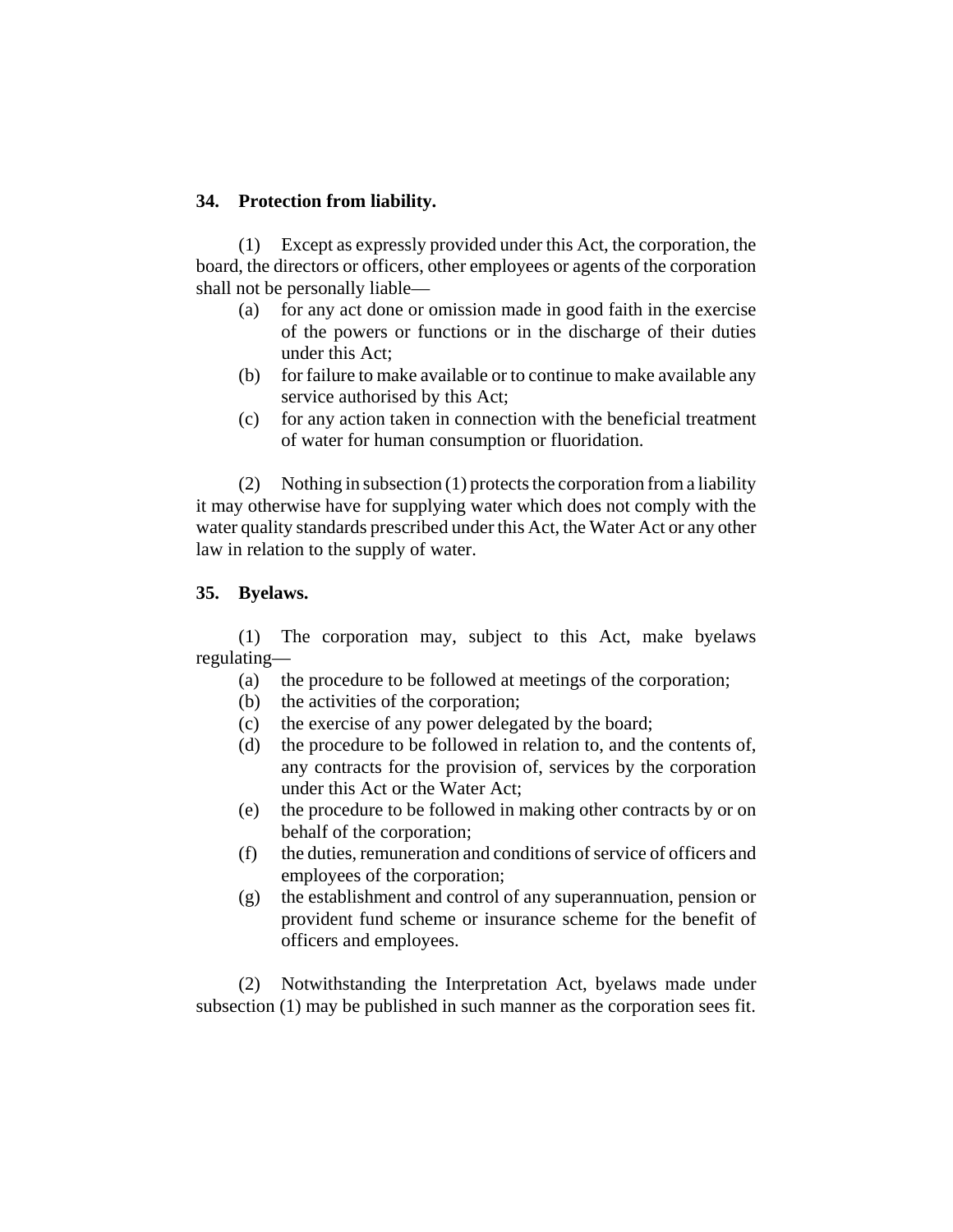## **34. Protection from liability.**

(1) Except as expressly provided under this Act, the corporation, the board, the directors or officers, other employees or agents of the corporation shall not be personally liable—

- (a) for any act done or omission made in good faith in the exercise of the powers or functions or in the discharge of their duties under this Act;
- (b) for failure to make available or to continue to make available any service authorised by this Act;
- (c) for any action taken in connection with the beneficial treatment of water for human consumption or fluoridation.

(2) Nothing in subsection (1) protects the corporation from a liability it may otherwise have for supplying water which does not comply with the water quality standards prescribed under this Act, the Water Act or any other law in relation to the supply of water.

### **35. Byelaws.**

(1) The corporation may, subject to this Act, make byelaws regulating—

- (a) the procedure to be followed at meetings of the corporation;
- (b) the activities of the corporation;
- (c) the exercise of any power delegated by the board;
- (d) the procedure to be followed in relation to, and the contents of, any contracts for the provision of, services by the corporation under this Act or the Water Act;
- (e) the procedure to be followed in making other contracts by or on behalf of the corporation;
- (f) the duties, remuneration and conditions of service of officers and employees of the corporation;
- (g) the establishment and control of any superannuation, pension or provident fund scheme or insurance scheme for the benefit of officers and employees.

(2) Notwithstanding the Interpretation Act, byelaws made under subsection (1) may be published in such manner as the corporation sees fit.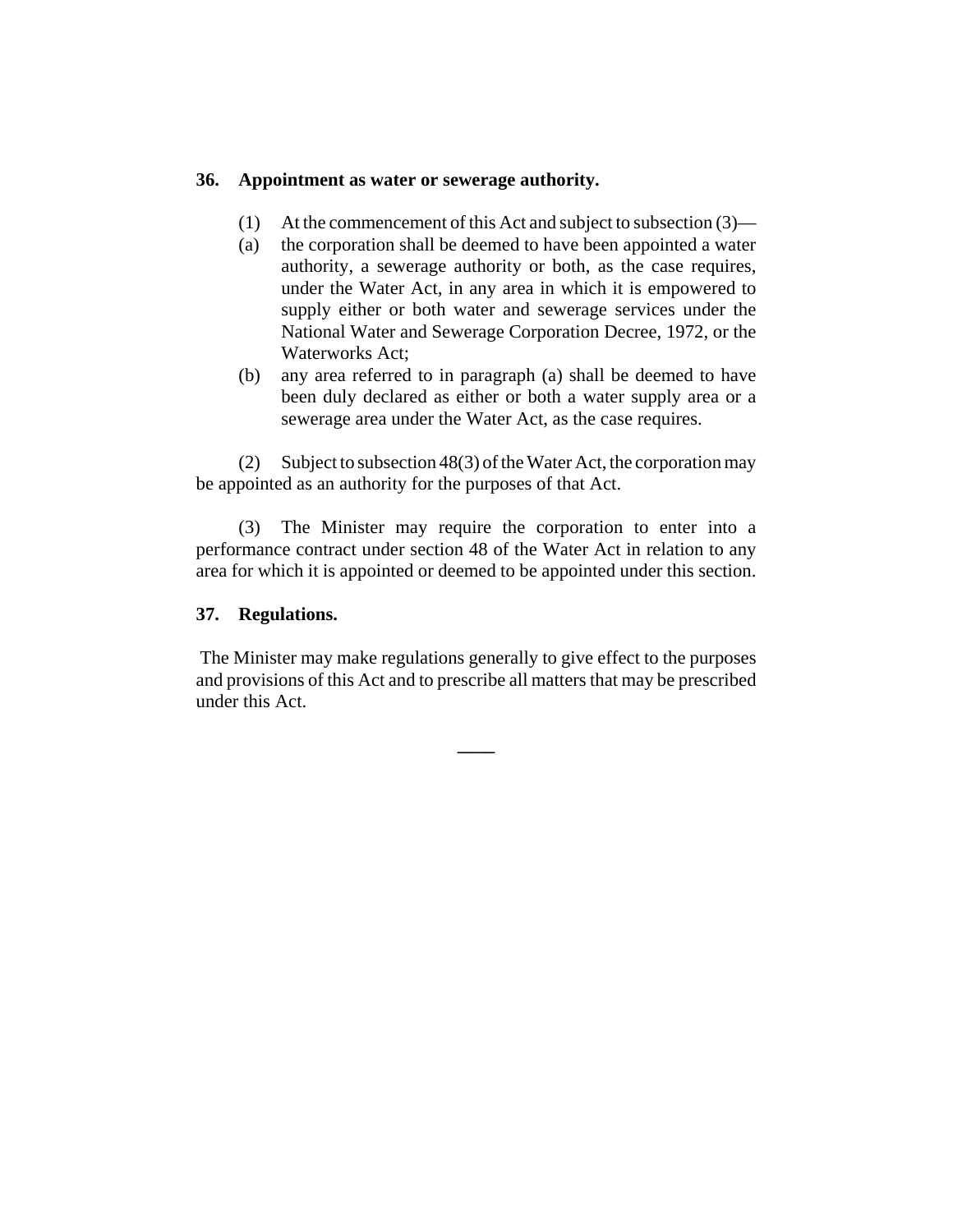### **36. Appointment as water or sewerage authority.**

- (1) At the commencement of this Act and subject to subsection (3)—
- (a) the corporation shall be deemed to have been appointed a water authority, a sewerage authority or both, as the case requires, under the Water Act, in any area in which it is empowered to supply either or both water and sewerage services under the National Water and Sewerage Corporation Decree, 1972, or the Waterworks Act;
- (b) any area referred to in paragraph (a) shall be deemed to have been duly declared as either or both a water supply area or a sewerage area under the Water Act, as the case requires.

(2) Subject to subsection 48(3) of the Water Act, the corporation may be appointed as an authority for the purposes of that Act.

(3) The Minister may require the corporation to enter into a performance contract under section 48 of the Water Act in relation to any area for which it is appointed or deemed to be appointed under this section.

### **37. Regulations.**

 The Minister may make regulations generally to give effect to the purposes and provisions of this Act and to prescribe all matters that may be prescribed under this Act.

**\_\_\_\_**